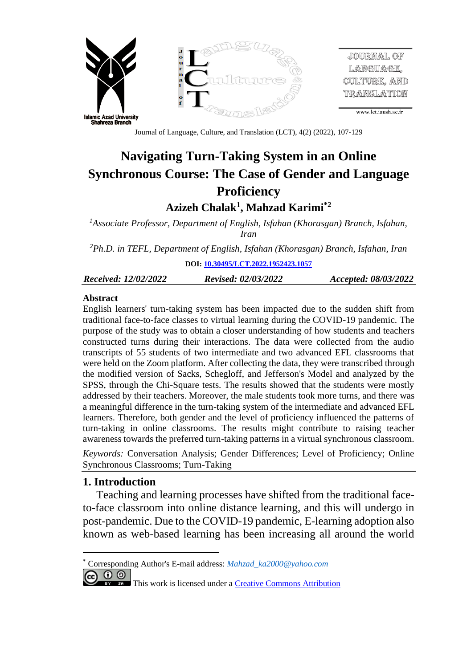

JOURNAL OF LANGUAGE, CULTURE. AND translation

www.lct.iaush.ac.ir

Journal of Language, Culture, and Translation (LCT), 4(2) (2022), 107-129

# **Navigating Turn-Taking System in an Online Synchronous Course: The Case of Gender and Language Proficiency**

**Azizeh Chalak<sup>1</sup> , Mahzad Karimi\*2**

*<sup>1</sup>Associate Professor, Department of English, Isfahan (Khorasgan) Branch, Isfahan, Iran*

*<sup>2</sup>Ph.D. in TEFL, Department of English, Isfahan (Khorasgan) Branch, Isfahan, Iran*

**DOI: [10.30495/LCT.2022.1952423.1057](http://lct.iaush.ac.ir/article_689700.html)**

*[Receiv](https://dx.doi.org/10.30495/lct.2021.681937)ed: 12/02/2022 Revised: 02/03/2022 Accepted: 08/03/2022*

#### **Abstract**

English learners' turn-taking system has been impacted due to the sudden shift from traditional face-to-face classes to virtual learning during the COVID-19 pandemic. The purpose of the study was to obtain a closer understanding of how students and teachers constructed turns during their interactions. The data were collected from the audio transcripts of 55 students of two intermediate and two advanced EFL classrooms that were held on the Zoom platform. After collecting the data, they were transcribed through the modified version of Sacks, Schegloff, and Jefferson's Model and analyzed by the SPSS, through the Chi-Square tests. The results showed that the students were mostly addressed by their teachers. Moreover, the male students took more turns, and there was a meaningful difference in the turn-taking system of the intermediate and advanced EFL learners. Therefore, both gender and the level of proficiency influenced the patterns of turn-taking in online classrooms. The results might contribute to raising teacher awareness towards the preferred turn-taking patterns in a virtual synchronous classroom.

*Keywords:* Conversation Analysis; Gender Differences; Level of Proficiency; Online Synchronous Classrooms; Turn-Taking

## **1. Introduction**

Teaching and learning processes have shifted from the traditional faceto-face classroom into online distance learning, and this will undergo in post-pandemic. Due to the COVID-19 pandemic, E-learning adoption also known as web-based learning has been increasing all around the world

<sup>\*</sup> Corresponding Author's E-mail address: *[Mahzad\\_ka2000@yahoo.com](mailto:Mahzad_ka2000@yahoo.com)*

<sup>@ 0 ⊚</sup> 

This work is licensed under a [Creative Commons Attribution](http://creativecommons.org/licenses/by-sa/3.0/)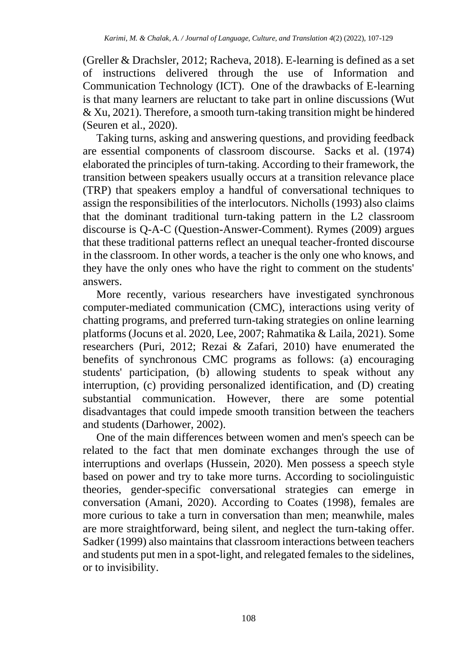(Greller & Drachsler, 2012; Racheva, 2018). E-learning is defined as a set of instructions delivered through the use of Information and Communication Technology (ICT). One of the drawbacks of E-learning is that many learners are reluctant to take part in online discussions (Wut & Xu, 2021). Therefore, a smooth turn-taking transition might be hindered (Seuren et al., 2020).

Taking turns, asking and answering questions, and providing feedback are essential components of classroom discourse. Sacks et al. (1974) elaborated the principles of turn-taking. According to their framework, the transition between speakers usually occurs at a transition relevance place (TRP) that speakers employ a handful of conversational techniques to assign the responsibilities of the interlocutors. Nicholls (1993) also claims that the dominant traditional turn-taking pattern in the L2 classroom discourse is Q-A-C (Question-Answer-Comment). Rymes (2009) argues that these traditional patterns reflect an unequal teacher-fronted discourse in the classroom. In other words, a teacher is the only one who knows, and they have the only ones who have the right to comment on the students' answers.

More recently, various researchers have investigated synchronous computer-mediated communication (CMC), interactions using verity of chatting programs, and preferred turn-taking strategies on online learning platforms (Jocuns et al. 2020, Lee, 2007; Rahmatika & Laila, 2021). Some researchers (Puri, 2012; Rezai & Zafari, 2010) have enumerated the benefits of synchronous CMC programs as follows: (a) encouraging students' participation, (b) allowing students to speak without any interruption, (c) providing personalized identification, and (D) creating substantial communication. However, there are some potential disadvantages that could impede smooth transition between the teachers and students (Darhower, 2002).

One of the main differences between women and men's speech can be related to the fact that men dominate exchanges through the use of interruptions and overlaps (Hussein, 2020). Men possess a speech style based on power and try to take more turns. According to sociolinguistic theories, gender-specific conversational strategies can emerge in conversation (Amani, 2020). According to Coates (1998), females are more curious to take a turn in conversation than men; meanwhile, males are more straightforward, being silent, and neglect the turn-taking offer. Sadker (1999) also maintains that classroom interactions between teachers and students put men in a spot-light, and relegated females to the sidelines, or to invisibility.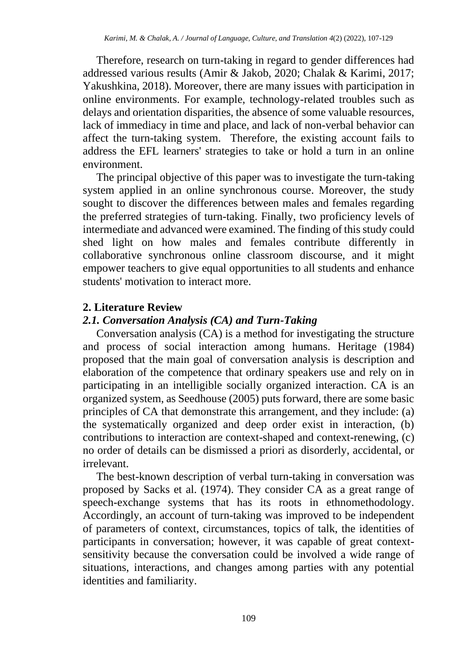Therefore, research on turn-taking in regard to gender differences had addressed various results (Amir & Jakob, 2020; Chalak & Karimi, 2017; Yakushkina, 2018). Moreover, there are many issues with participation in online environments. For example, technology-related troubles such as delays and orientation disparities, the absence of some valuable resources, lack of immediacy in time and place, and lack of non-verbal behavior can affect the turn-taking system. Therefore, the existing account fails to address the EFL learners' strategies to take or hold a turn in an online environment.

The principal objective of this paper was to investigate the turn-taking system applied in an online synchronous course. Moreover, the study sought to discover the differences between males and females regarding the preferred strategies of turn-taking. Finally, two proficiency levels of intermediate and advanced were examined. The finding of this study could shed light on how males and females contribute differently in collaborative synchronous online classroom discourse, and it might empower teachers to give equal opportunities to all students and enhance students' motivation to interact more.

# **2. Literature Review**

# *2.1. Conversation Analysis (CA) and Turn-Taking*

Conversation analysis (CA) is a method for investigating the structure and process of social interaction among humans. Heritage (1984) proposed that the main goal of conversation analysis is description and elaboration of the competence that ordinary speakers use and rely on in participating in an intelligible socially organized interaction. CA is an organized system, as Seedhouse (2005) puts forward, there are some basic principles of CA that demonstrate this arrangement, and they include: (a) the systematically organized and deep order exist in interaction, (b) contributions to interaction are context-shaped and context-renewing, (c) no order of details can be dismissed a priori as disorderly, accidental, or irrelevant.

The best-known description of verbal turn-taking in conversation was proposed by Sacks et al. (1974). They consider CA as a great range of speech-exchange systems that has its roots in ethnomethodology. Accordingly, an account of turn-taking was improved to be independent of parameters of context, circumstances, topics of talk, the identities of participants in conversation; however, it was capable of great contextsensitivity because the conversation could be involved a wide range of situations, interactions, and changes among parties with any potential identities and familiarity.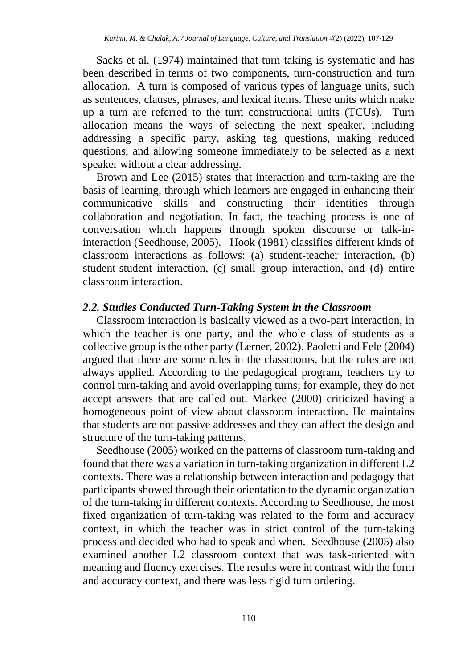Sacks et al. (1974) maintained that turn-taking is systematic and has been described in terms of two components, turn-construction and turn allocation. A turn is composed of various types of language units, such as sentences, clauses, phrases, and lexical items. These units which make up a turn are referred to the turn constructional units (TCUs). Turn allocation means the ways of selecting the next speaker, including addressing a specific party, asking tag questions, making reduced questions, and allowing someone immediately to be selected as a next speaker without a clear addressing.

Brown and Lee (2015) states that interaction and turn-taking are the basis of learning, through which learners are engaged in enhancing their communicative skills and constructing their identities through collaboration and negotiation. In fact, the teaching process is one of conversation which happens through spoken discourse or talk-ininteraction (Seedhouse, 2005). Hook (1981) classifies different kinds of classroom interactions as follows: (a) student-teacher interaction, (b) student-student interaction, (c) small group interaction, and (d) entire classroom interaction.

## *2.2. Studies Conducted Turn-Taking System in the Classroom*

Classroom interaction is basically viewed as a two-part interaction, in which the teacher is one party, and the whole class of students as a collective group is the other party (Lerner, 2002). Paoletti and Fele (2004) argued that there are some rules in the classrooms, but the rules are not always applied. According to the pedagogical program, teachers try to control turn-taking and avoid overlapping turns; for example, they do not accept answers that are called out. Markee (2000) criticized having a homogeneous point of view about classroom interaction. He maintains that students are not passive addresses and they can affect the design and structure of the turn-taking patterns.

Seedhouse (2005) worked on the patterns of classroom turn-taking and found that there was a variation in turn-taking organization in different L2 contexts. There was a relationship between interaction and pedagogy that participants showed through their orientation to the dynamic organization of the turn-taking in different contexts. According to Seedhouse, the most fixed organization of turn-taking was related to the form and accuracy context, in which the teacher was in strict control of the turn-taking process and decided who had to speak and when. Seedhouse (2005) also examined another L2 classroom context that was task-oriented with meaning and fluency exercises. The results were in contrast with the form and accuracy context, and there was less rigid turn ordering.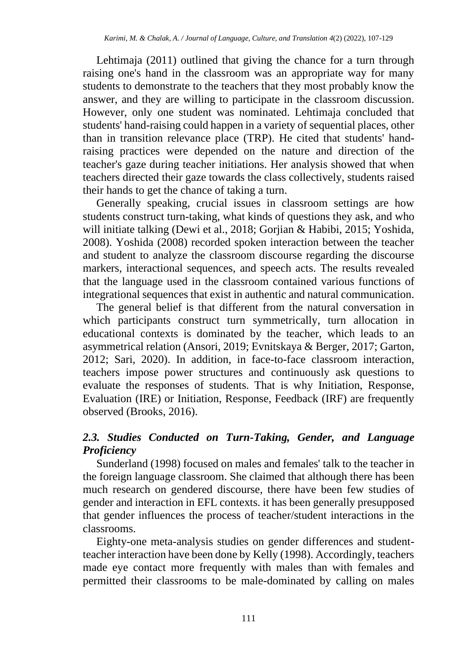Lehtimaja (2011) outlined that giving the chance for a turn through raising one's hand in the classroom was an appropriate way for many students to demonstrate to the teachers that they most probably know the answer, and they are willing to participate in the classroom discussion. However, only one student was nominated. Lehtimaja concluded that students' hand-raising could happen in a variety of sequential places, other than in transition relevance place (TRP). He cited that students' handraising practices were depended on the nature and direction of the teacher's gaze during teacher initiations. Her analysis showed that when teachers directed their gaze towards the class collectively, students raised their hands to get the chance of taking a turn.

Generally speaking, crucial issues in classroom settings are how students construct turn-taking, what kinds of questions they ask, and who will initiate talking (Dewi et al., 2018; Gorjian & Habibi, 2015; Yoshida, 2008). Yoshida (2008) recorded spoken interaction between the teacher and student to analyze the classroom discourse regarding the discourse markers, interactional sequences, and speech acts. The results revealed that the language used in the classroom contained various functions of integrational sequences that exist in authentic and natural communication.

The general belief is that different from the natural conversation in which participants construct turn symmetrically, turn allocation in educational contexts is dominated by the teacher, which leads to an asymmetrical relation (Ansori, 2019; Evnitskaya & Berger, 2017; Garton, 2012; Sari, 2020). In addition, in face-to-face classroom interaction, teachers impose power structures and continuously ask questions to evaluate the responses of students. That is why Initiation, Response, Evaluation (IRE) or Initiation, Response, Feedback (IRF) are frequently observed (Brooks, 2016).

# *2.3. Studies Conducted on Turn-Taking, Gender, and Language Proficiency*

Sunderland (1998) focused on males and females' talk to the teacher in the foreign language classroom. She claimed that although there has been much research on gendered discourse, there have been few studies of gender and interaction in EFL contexts. it has been generally presupposed that gender influences the process of teacher/student interactions in the classrooms.

Eighty-one meta-analysis studies on gender differences and studentteacher interaction have been done by Kelly (1998). Accordingly, teachers made eye contact more frequently with males than with females and permitted their classrooms to be male-dominated by calling on males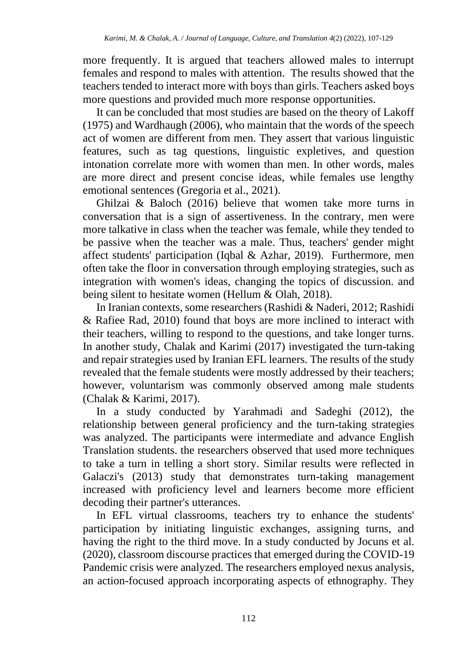more frequently. It is argued that teachers allowed males to interrupt females and respond to males with attention. The results showed that the teachers tended to interact more with boys than girls. Teachers asked boys more questions and provided much more response opportunities.

It can be concluded that most studies are based on the theory of Lakoff (1975) and Wardhaugh (2006), who maintain that the words of the speech act of women are different from men. They assert that various linguistic features, such as tag questions, linguistic expletives, and question intonation correlate more with women than men. In other words, males are more direct and present concise ideas, while females use lengthy emotional sentences (Gregoria et al., 2021).

Ghilzai & Baloch (2016) believe that women take more turns in conversation that is a sign of assertiveness. In the contrary, men were more talkative in class when the teacher was female, while they tended to be passive when the teacher was a male. Thus, teachers' gender might affect students' participation (Iqbal & Azhar, 2019). Furthermore, men often take the floor in conversation through employing strategies, such as integration with women's ideas, changing the topics of discussion. and being silent to hesitate women (Hellum & Olah, 2018).

In Iranian contexts, some researchers (Rashidi & Naderi, 2012; Rashidi & Rafiee Rad, 2010) found that boys are more inclined to interact with their teachers, willing to respond to the questions, and take longer turns. In another study, Chalak and Karimi (2017) investigated the turn-taking and repair strategies used by Iranian EFL learners. The results of the study revealed that the female students were mostly addressed by their teachers; however, voluntarism was commonly observed among male students (Chalak & Karimi, 2017).

In a study conducted by Yarahmadi and Sadeghi (2012), the relationship between general proficiency and the turn-taking strategies was analyzed. The participants were intermediate and advance English Translation students. the researchers observed that used more techniques to take a turn in telling a short story. Similar results were reflected in Galaczi's (2013) study that demonstrates turn-taking management increased with proficiency level and learners become more efficient decoding their partner's utterances.

In EFL virtual classrooms, teachers try to enhance the students' participation by initiating linguistic exchanges, assigning turns, and having the right to the third move. In a study conducted by Jocuns et al. (2020), classroom discourse practices that emerged during the COVID-19 Pandemic crisis were analyzed. The researchers employed nexus analysis, an action-focused approach incorporating aspects of ethnography. They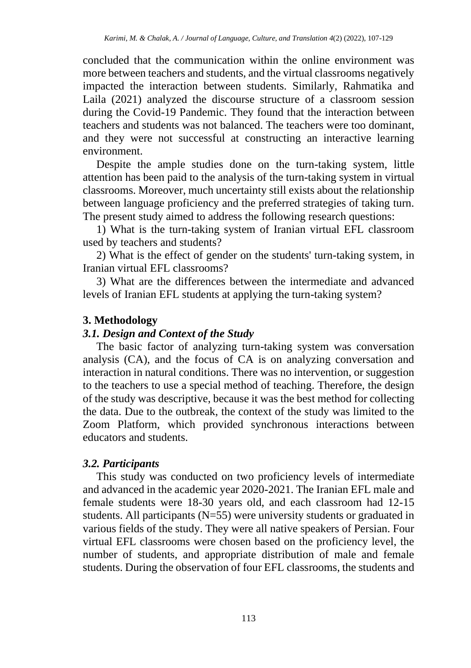concluded that the communication within the online environment was more between teachers and students, and the virtual classrooms negatively impacted the interaction between students. Similarly, Rahmatika and Laila (2021) analyzed the discourse structure of a classroom session during the Covid-19 Pandemic. They found that the interaction between teachers and students was not balanced. The teachers were too dominant, and they were not successful at constructing an interactive learning environment.

Despite the ample studies done on the turn-taking system, little attention has been paid to the analysis of the turn-taking system in virtual classrooms. Moreover, much uncertainty still exists about the relationship between language proficiency and the preferred strategies of taking turn. The present study aimed to address the following research questions:

1) What is the turn-taking system of Iranian virtual EFL classroom used by teachers and students?

2) What is the effect of gender on the students' turn-taking system, in Iranian virtual EFL classrooms?

3) What are the differences between the intermediate and advanced levels of Iranian EFL students at applying the turn-taking system?

## **3. Methodology**

## *3.1. Design and Context of the Study*

The basic factor of analyzing turn-taking system was conversation analysis (CA), and the focus of CA is on analyzing conversation and interaction in natural conditions. There was no intervention, or suggestion to the teachers to use a special method of teaching. Therefore, the design of the study was descriptive, because it was the best method for collecting the data. Due to the outbreak, the context of the study was limited to the Zoom Platform, which provided synchronous interactions between educators and students.

## *3.2. Participants*

This study was conducted on two proficiency levels of intermediate and advanced in the academic year 2020-2021. The Iranian EFL male and female students were 18-30 years old, and each classroom had 12-15 students. All participants (N=55) were university students or graduated in various fields of the study. They were all native speakers of Persian. Four virtual EFL classrooms were chosen based on the proficiency level, the number of students, and appropriate distribution of male and female students. During the observation of four EFL classrooms, the students and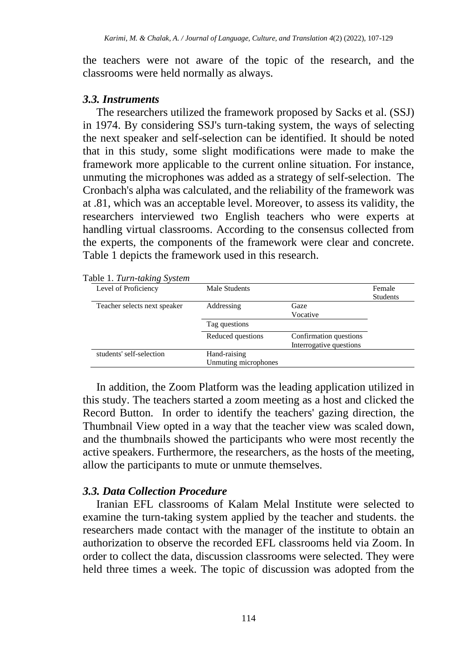the teachers were not aware of the topic of the research, and the classrooms were held normally as always.

#### *3.3. Instruments*

The researchers utilized the framework proposed by Sacks et al. (SSJ) in 1974. By considering SSJ's turn-taking system, the ways of selecting the next speaker and self-selection can be identified. It should be noted that in this study, some slight modifications were made to make the framework more applicable to the current online situation. For instance, unmuting the microphones was added as a strategy of self-selection. The Cronbach's alpha was calculated, and the reliability of the framework was at .81, which was an acceptable level. Moreover, to assess its validity, the researchers interviewed two English teachers who were experts at handling virtual classrooms. According to the consensus collected from the experts, the components of the framework were clear and concrete. Table 1 depicts the framework used in this research.

| Table 1. Turn-taking System |  |  |  |  |
|-----------------------------|--|--|--|--|
|-----------------------------|--|--|--|--|

| Level of Proficiency         | Male Students                        |                                                   | Female<br><b>Students</b> |
|------------------------------|--------------------------------------|---------------------------------------------------|---------------------------|
| Teacher selects next speaker | Addressing                           | Gaze<br>Vocative                                  |                           |
|                              | Tag questions                        |                                                   |                           |
|                              | Reduced questions                    | Confirmation questions<br>Interrogative questions |                           |
| students' self-selection     | Hand-raising<br>Unmuting microphones |                                                   |                           |

In addition, the Zoom Platform was the leading application utilized in this study. The teachers started a zoom meeting as a host and clicked the Record Button. In order to identify the teachers' gazing direction, the Thumbnail View opted in a way that the teacher view was scaled down, and the thumbnails showed the participants who were most recently the active speakers. Furthermore, the researchers, as the hosts of the meeting, allow the participants to mute or unmute themselves.

### *3.3. Data Collection Procedure*

Iranian EFL classrooms of Kalam Melal Institute were selected to examine the turn-taking system applied by the teacher and students. the researchers made contact with the manager of the institute to obtain an authorization to observe the recorded EFL classrooms held via Zoom. In order to collect the data, discussion classrooms were selected. They were held three times a week. The topic of discussion was adopted from the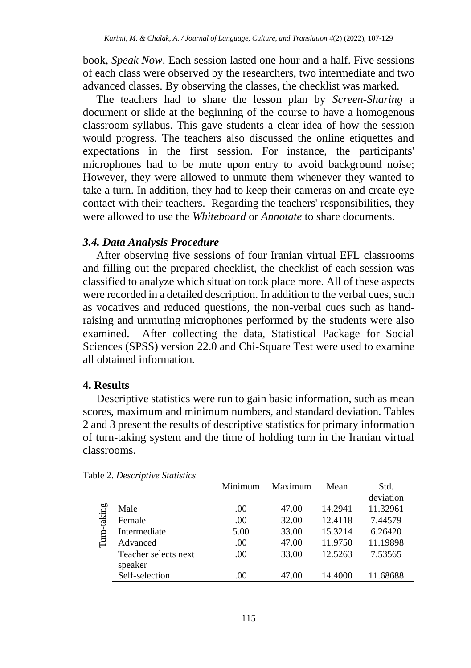book, *Speak Now*. Each session lasted one hour and a half. Five sessions of each class were observed by the researchers, two intermediate and two advanced classes. By observing the classes, the checklist was marked.

The teachers had to share the lesson plan by *Screen-Sharing* a document or slide at the beginning of the course to have a homogenous classroom syllabus. This gave students a clear idea of how the session would progress. The teachers also discussed the online etiquettes and expectations in the first session. For instance, the participants' microphones had to be mute upon entry to avoid background noise; However, they were allowed to unmute them whenever they wanted to take a turn. In addition, they had to keep their cameras on and create eye contact with their teachers. Regarding the teachers' responsibilities, they were allowed to use the *Whiteboard* or *Annotate* to share documents.

#### *3.4. Data Analysis Procedure*

After observing five sessions of four Iranian virtual EFL classrooms and filling out the prepared checklist, the checklist of each session was classified to analyze which situation took place more. All of these aspects were recorded in a detailed description. In addition to the verbal cues, such as vocatives and reduced questions, the non-verbal cues such as handraising and unmuting microphones performed by the students were also examined. After collecting the data, Statistical Package for Social Sciences (SPSS) version 22.0 and Chi-Square Test were used to examine all obtained information.

### **4. Results**

Descriptive statistics were run to gain basic information, such as mean scores, maximum and minimum numbers, and standard deviation. Tables 2 and 3 present the results of descriptive statistics for primary information of turn-taking system and the time of holding turn in the Iranian virtual classrooms.

|        |                      | Minimum | Maximum | Mean    | Std.      |
|--------|----------------------|---------|---------|---------|-----------|
|        |                      |         |         |         | deviation |
| taking | Male                 | .00     | 47.00   | 14.2941 | 11.32961  |
|        | Female               | .00     | 32.00   | 12.4118 | 7.44579   |
| É      | Intermediate         | 5.00    | 33.00   | 15.3214 | 6.26420   |
|        | Advanced             | .00     | 47.00   | 11.9750 | 11.19898  |
|        | Teacher selects next | .00     | 33.00   | 12.5263 | 7.53565   |
|        | speaker              |         |         |         |           |
|        | Self-selection       | .00     | 47.00   | 14.4000 | .68688    |

Table 2. *Descriptive Statistics*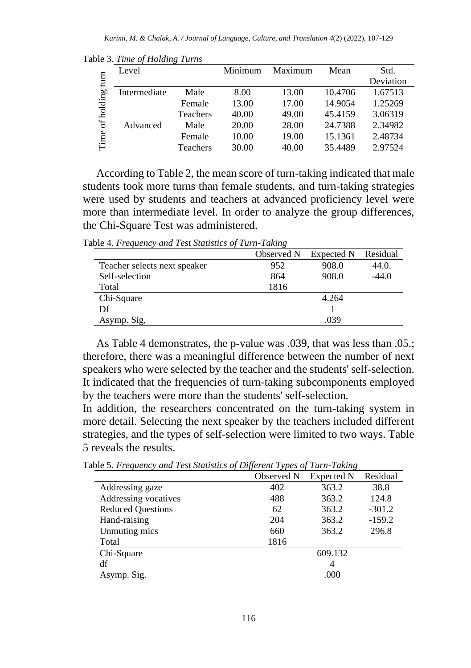|            | Level        |                 | Minimum | Maximum | Mean    | Std.      |
|------------|--------------|-----------------|---------|---------|---------|-----------|
| turn       |              |                 |         |         |         | Deviation |
|            | Intermediate | Male            | 8.00    | 13.00   | 10.4706 | 1.67513   |
| of holding |              | Female          | 13.00   | 17.00   | 14.9054 | 1.25269   |
|            |              | <b>Teachers</b> | 40.00   | 49.00   | 45.4159 | 3.06319   |
|            | Advanced     | Male            | 20.00   | 28.00   | 24.7388 | 2.34982   |
| Time       |              | Female          | 10.00   | 19.00   | 15.1361 | 2.48734   |
|            |              | Teachers        | 30.00   | 40.00   | 35.4489 | 2.97524   |

Table 3. *Time of Holding Turns* 

According to Table 2, the mean score of turn-taking indicated that male students took more turns than female students, and turn-taking strategies were used by students and teachers at advanced proficiency level were more than intermediate level. In order to analyze the group differences, the Chi-Square Test was administered.

Table 4. *Frequency and Test Statistics of Turn-Taking*

|                              | Observed N | Expected N | Residual |
|------------------------------|------------|------------|----------|
| Teacher selects next speaker | 952        | 908.0      | 44.0.    |
| Self-selection               | 864        | 908.0      | $-44.0$  |
| Total                        | 1816       |            |          |
| Chi-Square                   |            | 4.264      |          |
| Df                           |            |            |          |
| Asymp. Sig.                  |            | .039       |          |

As Table 4 demonstrates, the p-value was .039, that was less than .05.; therefore, there was a meaningful difference between the number of next speakers who were selected by the teacher and the students' self-selection. It indicated that the frequencies of turn-taking subcomponents employed by the teachers were more than the students' self-selection.

In addition, the researchers concentrated on the turn-taking system in more detail. Selecting the next speaker by the teachers included different strategies, and the types of self-selection were limited to two ways. Table 5 reveals the results.

|                          | Observed N | <b>Expected N</b> | Residual |
|--------------------------|------------|-------------------|----------|
| Addressing gaze          | 402        | 363.2             | 38.8     |
| Addressing vocatives     | 488        | 363.2             | 124.8    |
| <b>Reduced Questions</b> | 62         | 363.2             | $-301.2$ |
| Hand-raising             | 204        | 363.2             | $-159.2$ |
| Unmuting mics            | 660        | 363.2             | 296.8    |
| Total                    | 1816       |                   |          |
| Chi-Square               |            | 609.132           |          |
| df                       |            | 4                 |          |
| Asymp. Sig.              |            | .000              |          |

Table 5. *Frequency and Test Statistics of Different Types of Turn-Taking*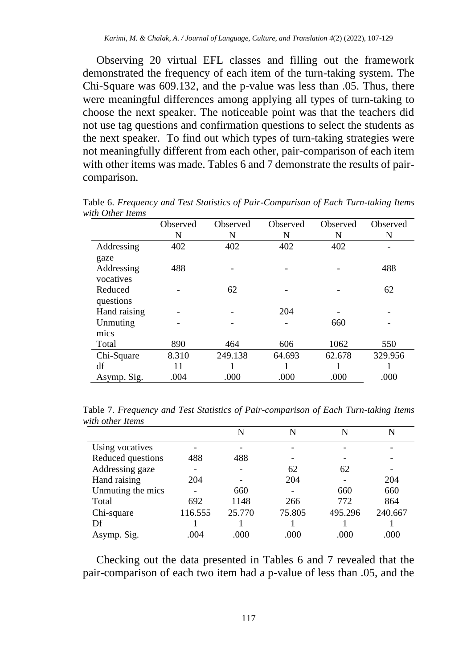Observing 20 virtual EFL classes and filling out the framework demonstrated the frequency of each item of the turn-taking system. The Chi-Square was 609.132, and the p-value was less than .05. Thus, there were meaningful differences among applying all types of turn-taking to choose the next speaker. The noticeable point was that the teachers did not use tag questions and confirmation questions to select the students as the next speaker. To find out which types of turn-taking strategies were not meaningfully different from each other, pair-comparison of each item with other items was made. Tables 6 and 7 demonstrate the results of paircomparison.

|              | Observed | Observed | Observed | Observed | Observed |
|--------------|----------|----------|----------|----------|----------|
|              | N        | N        | N        | N        | N        |
| Addressing   | 402      | 402      | 402      | 402      |          |
| gaze         |          |          |          |          |          |
| Addressing   | 488      |          |          |          | 488      |
| vocatives    |          |          |          |          |          |
| Reduced      |          | 62       |          |          | 62       |
| questions    |          |          |          |          |          |
| Hand raising |          |          | 204      |          |          |
| Unmuting     |          |          |          | 660      |          |
| mics         |          |          |          |          |          |
| Total        | 890      | 464      | 606      | 1062     | 550      |
| Chi-Square   | 8.310    | 249.138  | 64.693   | 62.678   | 329.956  |
| df           | 11       |          |          |          |          |
| Asymp. Sig.  | .004     | .000     | .000     | .000     | .000     |

Table 6. *Frequency and Test Statistics of Pair-Comparison of Each Turn-taking Items with Other Items*

Table 7. *Frequency and Test Statistics of Pair-comparison of Each Turn-taking Items with other Items*

|                   |         | N      | N      | N       | N       |
|-------------------|---------|--------|--------|---------|---------|
| Using vocatives   |         |        |        |         |         |
| Reduced questions | 488     | 488    |        |         |         |
| Addressing gaze   |         |        | 62     | 62      |         |
| Hand raising      | 204     |        | 204    |         | 204     |
| Unmuting the mics |         | 660    |        | 660     | 660     |
| Total             | 692     | 1148   | 266    | 772     | 864     |
| Chi-square        | 116.555 | 25.770 | 75.805 | 495.296 | 240.667 |
| Df                |         |        |        |         |         |
| Asymp. Sig.       | .004    | .000   | .000   | .000    | .000    |

Checking out the data presented in Tables 6 and 7 revealed that the pair-comparison of each two item had a p-value of less than .05, and the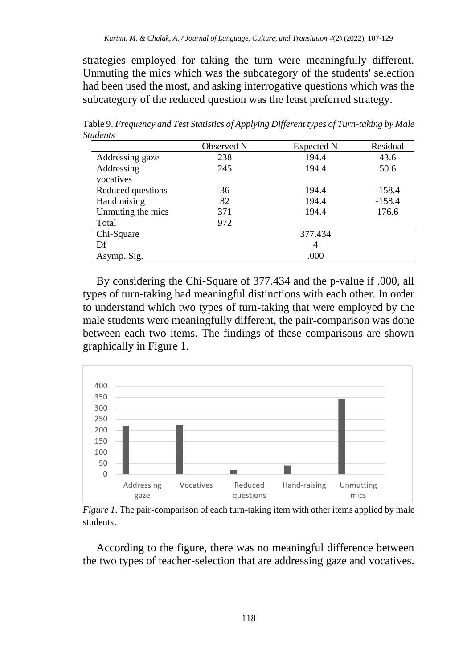strategies employed for taking the turn were meaningfully different. Unmuting the mics which was the subcategory of the students' selection had been used the most, and asking interrogative questions which was the subcategory of the reduced question was the least preferred strategy.

|                   | Observed N | Expected N | Residual |  |  |
|-------------------|------------|------------|----------|--|--|
| Addressing gaze   | 238        | 194.4      | 43.6     |  |  |
| Addressing        | 245        | 194.4      | 50.6     |  |  |
| vocatives         |            |            |          |  |  |
| Reduced questions | 36         | 194.4      | $-158.4$ |  |  |
| Hand raising      | 82         | 194.4      | $-158.4$ |  |  |
| Unmuting the mics | 371        | 194.4      | 176.6    |  |  |
| Total             | 972        |            |          |  |  |
| Chi-Square        |            | 377.434    |          |  |  |
| Df                |            | 4          |          |  |  |
| Asymp. Sig.       | .000       |            |          |  |  |

Table 9. *Frequency and Test Statistics of Applying Different types of Turn-taking by Male Students* 

By considering the Chi-Square of 377.434 and the p-value if .000, all types of turn-taking had meaningful distinctions with each other. In order to understand which two types of turn-taking that were employed by the male students were meaningfully different, the pair-comparison was done between each two items. The findings of these comparisons are shown graphically in Figure 1.



*Figure 1.* The pair-comparison of each turn-taking item with other items applied by male students.

According to the figure, there was no meaningful difference between the two types of teacher-selection that are addressing gaze and vocatives.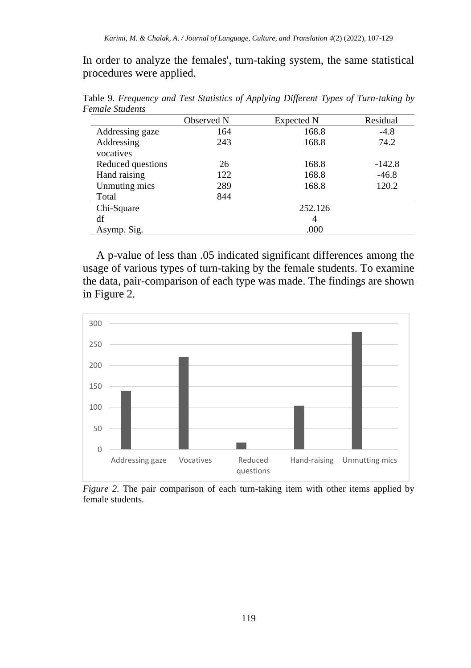In order to analyze the females', turn-taking system, the same statistical procedures were applied.

|                   | Observed N | Expected N | Residual |  |
|-------------------|------------|------------|----------|--|
| Addressing gaze   | 164        | 168.8      | $-4.8$   |  |
| Addressing        | 243        | 168.8      | 74.2     |  |
| vocatives         |            |            |          |  |
| Reduced questions | 26         | 168.8      | $-142.8$ |  |
| Hand raising      | 122        | 168.8      | $-46.8$  |  |
| Unmuting mics     | 289        | 168.8      | 120.2    |  |
| Total             | 844        |            |          |  |
| Chi-Square        |            | 252.126    |          |  |
| df                |            | 4          |          |  |
| Asymp. Sig.       | .000       |            |          |  |

Table 9*. Frequency and Test Statistics of Applying Different Types of Turn-taking by Female Students* 

A p-value of less than .05 indicated significant differences among the usage of various types of turn-taking by the female students. To examine the data, pair-comparison of each type was made. The findings are shown in Figure 2.



*Figure 2.* The pair comparison of each turn-taking item with other items applied by female students*.*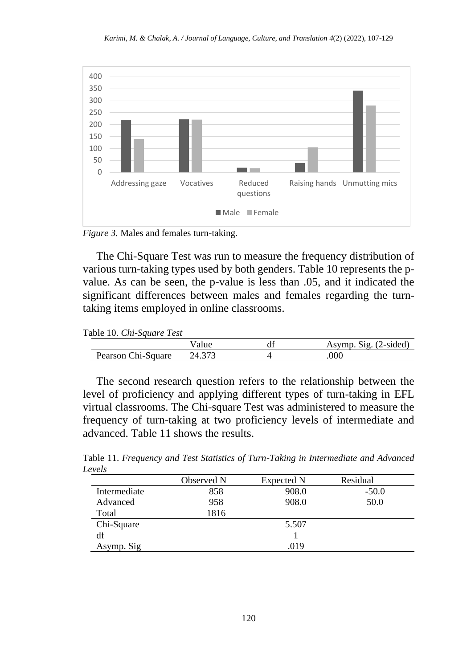

*Figure 3.* Males and females turn-taking.

The Chi-Square Test was run to measure the frequency distribution of various turn-taking types used by both genders. Table 10 represents the pvalue. As can be seen, the p-value is less than .05, and it indicated the significant differences between males and females regarding the turntaking items employed in online classrooms.

Table 10. *Chi-Square Test* 

|                    |        | uı | $(2-sided)$<br>Asymp<br>S10 |
|--------------------|--------|----|-----------------------------|
| Pearson Chi-Square | 24.373 |    | 000                         |

The second research question refers to the relationship between the level of proficiency and applying different types of turn-taking in EFL virtual classrooms. The Chi-square Test was administered to measure the frequency of turn-taking at two proficiency levels of intermediate and advanced. Table 11 shows the results.

Table 11. *Frequency and Test Statistics of Turn-Taking in Intermediate and Advanced Levels*

|              | Observed N | Expected N | Residual |
|--------------|------------|------------|----------|
| Intermediate | 858        | 908.0      | $-50.0$  |
| Advanced     | 958        | 908.0      | 50.0     |
| Total        | 1816       |            |          |
| Chi-Square   |            | 5.507      |          |
| df           |            |            |          |
| Asymp. Sig   |            | .019       |          |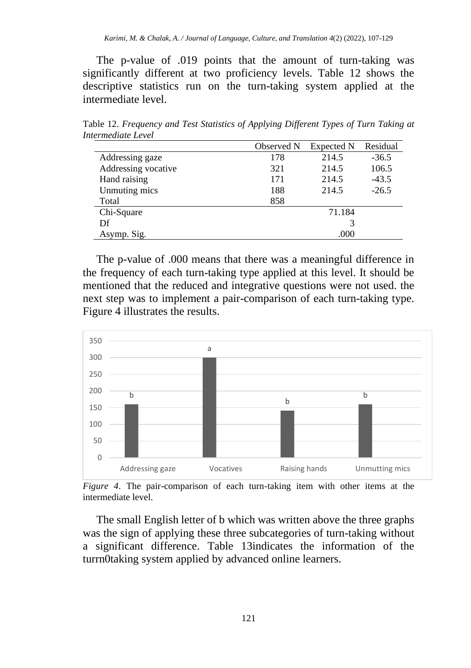The p-value of .019 points that the amount of turn-taking was significantly different at two proficiency levels. Table 12 shows the descriptive statistics run on the turn-taking system applied at the intermediate level.

Table 12. *Frequency and Test Statistics of Applying Different Types of Turn Taking at Intermediate Level*

|                     | Observed N | Expected N | Residual |  |
|---------------------|------------|------------|----------|--|
| Addressing gaze     | 178        | 214.5      | $-36.5$  |  |
| Addressing vocative | 321        | 214.5      | 106.5    |  |
| Hand raising        | 171        | 214.5      | $-43.5$  |  |
| Unmuting mics       | 188        | 214.5      | $-26.5$  |  |
| Total               | 858        |            |          |  |
| Chi-Square          |            | 71.184     |          |  |
| Df                  |            |            |          |  |
| Asymp. Sig.         | .000       |            |          |  |

The p-value of .000 means that there was a meaningful difference in the frequency of each turn-taking type applied at this level. It should be mentioned that the reduced and integrative questions were not used. the next step was to implement a pair-comparison of each turn-taking type. Figure 4 illustrates the results.



*Figure 4*. The pair-comparison of each turn-taking item with other items at the intermediate level.

The small English letter of b which was written above the three graphs was the sign of applying these three subcategories of turn-taking without a significant difference. Table 13indicates the information of the turrn0taking system applied by advanced online learners.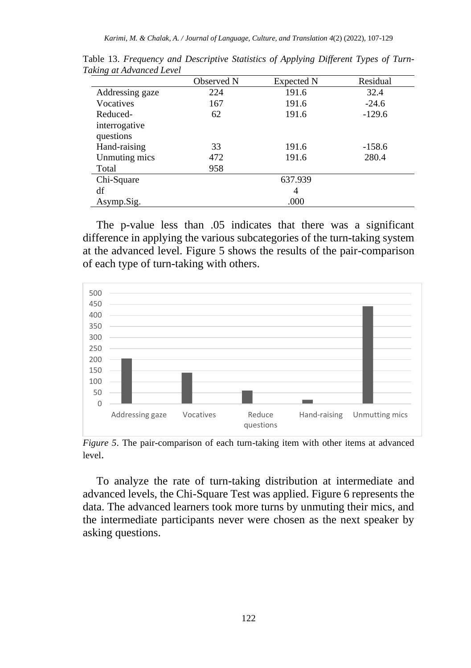|                 | Observed N | Expected N | Residual |  |  |
|-----------------|------------|------------|----------|--|--|
| Addressing gaze | 224        | 191.6      | 32.4     |  |  |
| Vocatives       | 167        | 191.6      | $-24.6$  |  |  |
| Reduced-        | 62         | 191.6      | $-129.6$ |  |  |
| interrogative   |            |            |          |  |  |
| questions       |            |            |          |  |  |
| Hand-raising    | 33         | 191.6      | $-158.6$ |  |  |
| Unmuting mics   | 472        | 191.6      | 280.4    |  |  |
| Total           | 958        |            |          |  |  |
| Chi-Square      |            | 637.939    |          |  |  |
| df              | 4          |            |          |  |  |
| Asymp.Sig.      | .000       |            |          |  |  |

Table 13. *Frequency and Descriptive Statistics of Applying Different Types of Turn-Taking at Advanced Level* 

The p-value less than .05 indicates that there was a significant difference in applying the various subcategories of the turn-taking system at the advanced level. Figure 5 shows the results of the pair-comparison of each type of turn-taking with others.



*Figure 5*. The pair-comparison of each turn-taking item with other items at advanced level.

To analyze the rate of turn-taking distribution at intermediate and advanced levels, the Chi-Square Test was applied. Figure 6 represents the data. The advanced learners took more turns by unmuting their mics, and the intermediate participants never were chosen as the next speaker by asking questions.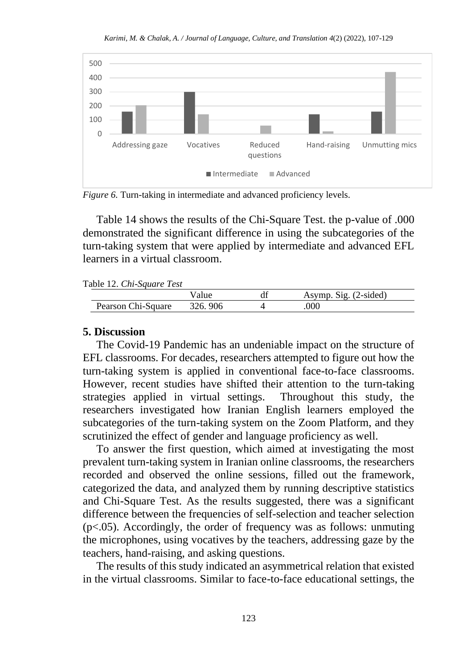*Karimi, M. & Chalak, A. / Journal of Language, Culture, and Translation 4*(2) (2022), 107-129



*Figure 6.* Turn-taking in intermediate and advanced proficiency levels.

Table 14 shows the results of the Chi-Square Test. the p-value of .000 demonstrated the significant difference in using the subcategories of the turn-taking system that were applied by intermediate and advanced EFL learners in a virtual classroom.

Table 12. *Chi-Square Test*

|                    | alue    | aı | $\text{Sig.}$ (2-sided)<br>Asymp |  |
|--------------------|---------|----|----------------------------------|--|
| Pearson Chi-Square | 326.906 |    | 000                              |  |

#### **5. Discussion**

The Covid-19 Pandemic has an undeniable impact on the structure of EFL classrooms. For decades, researchers attempted to figure out how the turn-taking system is applied in conventional face-to-face classrooms. However, recent studies have shifted their attention to the turn-taking strategies applied in virtual settings. Throughout this study, the researchers investigated how Iranian English learners employed the subcategories of the turn-taking system on the Zoom Platform, and they scrutinized the effect of gender and language proficiency as well.

To answer the first question, which aimed at investigating the most prevalent turn-taking system in Iranian online classrooms, the researchers recorded and observed the online sessions, filled out the framework, categorized the data, and analyzed them by running descriptive statistics and Chi-Square Test. As the results suggested, there was a significant difference between the frequencies of self-selection and teacher selection (p<.05). Accordingly, the order of frequency was as follows: unmuting the microphones, using vocatives by the teachers, addressing gaze by the teachers, hand-raising, and asking questions.

The results of this study indicated an asymmetrical relation that existed in the virtual classrooms. Similar to face-to-face educational settings, the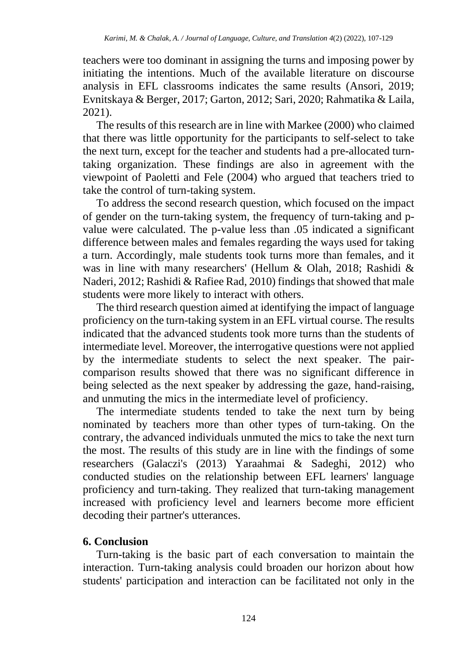teachers were too dominant in assigning the turns and imposing power by initiating the intentions. Much of the available literature on discourse analysis in EFL classrooms indicates the same results (Ansori, 2019; Evnitskaya & Berger, 2017; Garton, 2012; Sari, 2020; Rahmatika & Laila, 2021).

The results of this research are in line with Markee (2000) who claimed that there was little opportunity for the participants to self-select to take the next turn, except for the teacher and students had a pre-allocated turntaking organization. These findings are also in agreement with the viewpoint of Paoletti and Fele (2004) who argued that teachers tried to take the control of turn-taking system.

To address the second research question, which focused on the impact of gender on the turn-taking system, the frequency of turn-taking and pvalue were calculated. The p-value less than .05 indicated a significant difference between males and females regarding the ways used for taking a turn. Accordingly, male students took turns more than females, and it was in line with many researchers' (Hellum & Olah, 2018; Rashidi & Naderi, 2012; Rashidi & Rafiee Rad, 2010) findings that showed that male students were more likely to interact with others.

The third research question aimed at identifying the impact of language proficiency on the turn-taking system in an EFL virtual course. The results indicated that the advanced students took more turns than the students of intermediate level. Moreover, the interrogative questions were not applied by the intermediate students to select the next speaker. The paircomparison results showed that there was no significant difference in being selected as the next speaker by addressing the gaze, hand-raising, and unmuting the mics in the intermediate level of proficiency.

The intermediate students tended to take the next turn by being nominated by teachers more than other types of turn-taking. On the contrary, the advanced individuals unmuted the mics to take the next turn the most. The results of this study are in line with the findings of some researchers (Galaczi's (2013) Yaraahmai & Sadeghi, 2012) who conducted studies on the relationship between EFL learners' language proficiency and turn-taking. They realized that turn-taking management increased with proficiency level and learners become more efficient decoding their partner's utterances.

# **6. Conclusion**

Turn-taking is the basic part of each conversation to maintain the interaction. Turn-taking analysis could broaden our horizon about how students' participation and interaction can be facilitated not only in the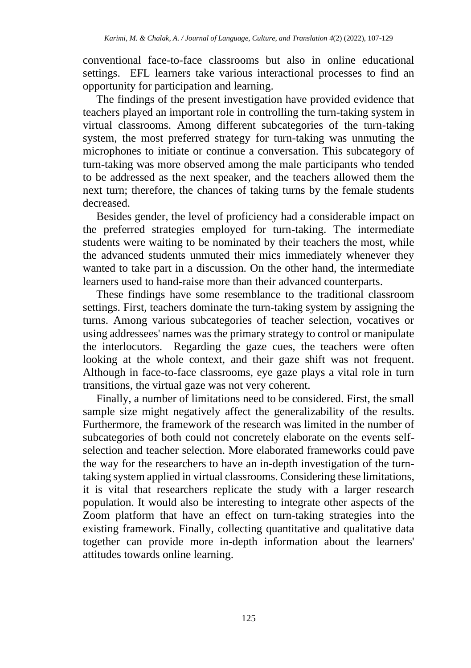conventional face-to-face classrooms but also in online educational settings. EFL learners take various interactional processes to find an opportunity for participation and learning.

The findings of the present investigation have provided evidence that teachers played an important role in controlling the turn-taking system in virtual classrooms. Among different subcategories of the turn-taking system, the most preferred strategy for turn-taking was unmuting the microphones to initiate or continue a conversation. This subcategory of turn-taking was more observed among the male participants who tended to be addressed as the next speaker, and the teachers allowed them the next turn; therefore, the chances of taking turns by the female students decreased.

Besides gender, the level of proficiency had a considerable impact on the preferred strategies employed for turn-taking. The intermediate students were waiting to be nominated by their teachers the most, while the advanced students unmuted their mics immediately whenever they wanted to take part in a discussion. On the other hand, the intermediate learners used to hand-raise more than their advanced counterparts.

These findings have some resemblance to the traditional classroom settings. First, teachers dominate the turn-taking system by assigning the turns. Among various subcategories of teacher selection, vocatives or using addressees' names was the primary strategy to control or manipulate the interlocutors. Regarding the gaze cues, the teachers were often looking at the whole context, and their gaze shift was not frequent. Although in face-to-face classrooms, eye gaze plays a vital role in turn transitions, the virtual gaze was not very coherent.

Finally, a number of limitations need to be considered. First, the small sample size might negatively affect the generalizability of the results. Furthermore, the framework of the research was limited in the number of subcategories of both could not concretely elaborate on the events selfselection and teacher selection. More elaborated frameworks could pave the way for the researchers to have an in-depth investigation of the turntaking system applied in virtual classrooms. Considering these limitations, it is vital that researchers replicate the study with a larger research population. It would also be interesting to integrate other aspects of the Zoom platform that have an effect on turn-taking strategies into the existing framework. Finally, collecting quantitative and qualitative data together can provide more in-depth information about the learners' attitudes towards online learning.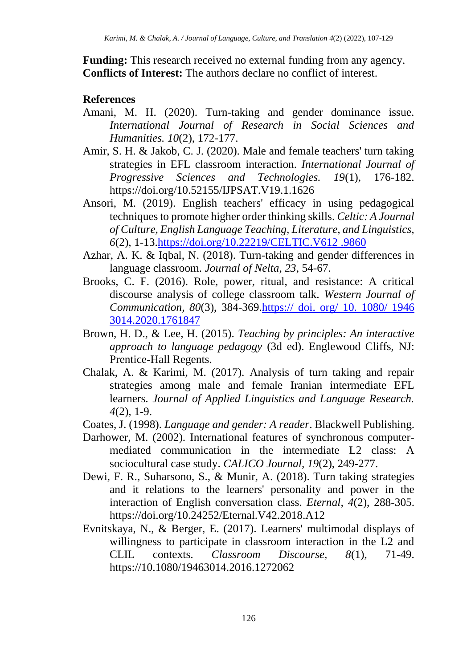**Funding:** This research received no external funding from any agency. **Conflicts of Interest:** The authors declare no conflict of interest.

# **References**

- Amani, M. H. (2020). Turn-taking and gender dominance issue. *International Journal of Research in Social Sciences and Humanities. 10*(2), 172-177.
- Amir, S. H. & Jakob, C. J. (2020). Male and female teachers' turn taking strategies in EFL classroom interaction. *International Journal of Progressive Sciences and Technologies. 19*(1), 176-182. <https://doi.org/10.52155/IJPSAT.V19.1.1626>
- Ansori, M. (2019). English teachers' efficacy in using pedagogical techniques to promote higher order thinking skills. *Celtic: A Journal of Culture, English Language Teaching, Literature, and Linguistics, 6*(2), 1-13[.https://doi.org/10.22219/CELTIC.V612 .9860](https://doi.org/10.22219/CELTIC.V612%20.9860)
- Azhar, A. K. & Iqbal, N. (2018). Turn-taking and gender differences in language classroom. *Journal of Nelta, 23*, 54-67.
- Brooks, C. F. (2016). Role, power, ritual, and resistance: A critical discourse analysis of college classroom talk. *Western Journal of Communication, 80*(3), 384-369.https:// doi. org/ 10. 1080/ 1946 3014.2020.1761847
- Brown, H. D., & Lee, H. (2015). *Teaching by principles: An interactive approach to language pedagogy* (3d ed). Englewood Cliffs, NJ: Prentice-Hall Regents.
- Chalak, A. & Karimi, M. (2017). Analysis of turn taking and repair strategies among male and female Iranian intermediate EFL learners. *Journal of Applied Linguistics and Language Research. 4*(2), 1-9.
- Coates, J. (1998). *Language and gender: A reader*. Blackwell Publishing.
- Darhower, M. (2002). International features of synchronous computermediated communication in the intermediate L2 class: A sociocultural case study. *CALICO Journal, 19*(2), 249-277.
- Dewi, F. R., Suharsono, S., & Munir, A. (2018). Turn taking strategies and it relations to the learners' personality and power in the interaction of English conversation class. *Eternal, 4*(2), 288-305. <https://doi.org/10.24252/Eternal.V42.2018.A12>
- Evnitskaya, N., & Berger, E. (2017). Learners' multimodal displays of willingness to participate in classroom interaction in the L2 and CLIL contexts. *Classroom Discourse, 8*(1), 71-49. [https://10.1080/19463014.2016.1272062](https://10.0.4.56/19463014.2016.1272062)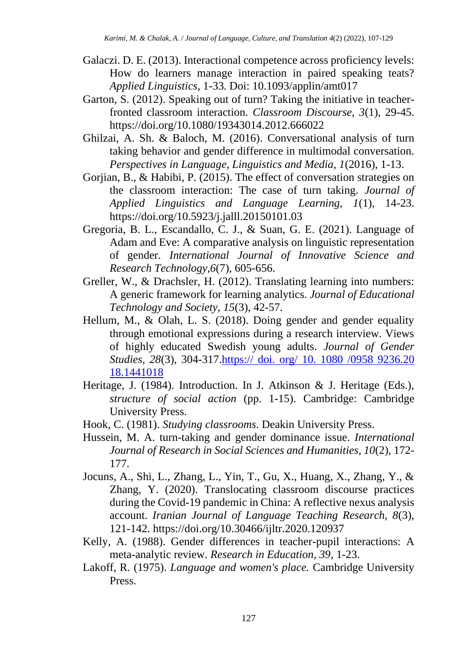- Galaczi. D. E. (2013). Interactional competence across proficiency levels: How do learners manage interaction in paired speaking teats? *Applied Linguistics*, 1-33. Doi: 10.1093/applin/amt017
- Garton, S. (2012). Speaking out of turn? Taking the initiative in teacherfronted classroom interaction. *Classroom Discourse, 3*(1), 29-45. <https://doi.org/10.1080/19343014.2012.666022>
- Ghilzai, A. Sh. & Baloch, M. (2016). Conversational analysis of turn taking behavior and gender difference in multimodal conversation. *Perspectives in Language, Linguistics and Media, 1*(2016), 1-13.
- Gorjian, B., & Habibi, P. (2015). The effect of conversation strategies on the classroom interaction: The case of turn taking. *Journal of Applied Linguistics and Language Learning, 1*(1), 14-23. <https://doi.org/10.5923/j.jalll.20150101.03>
- Gregoria, B. L., Escandallo, C. J., & Suan, G. E. (2021). Language of Adam and Eve: A comparative analysis on linguistic representation of gender. *International Journal of Innovative Science and Research Technology,6*(7), 605-656.
- Greller, W., & Drachsler, H. (2012). Translating learning into numbers: A generic framework for learning analytics. *Journal of Educational Technology and Society, 15*(3), 42-57.
- Hellum, M., & Olah, L. S. (2018). Doing gender and gender equality through emotional expressions during a research interview. Views of highly educated Swedish young adults. *Journal of Gender Studies, 28*(3), 304-317.https:// doi. org/ 10. 1080 /0958 9236.20 18.1441018
- Heritage, J. (1984). Introduction. In J. Atkinson & J. Heritage (Eds.), *structure of social action* (pp. 1-15). Cambridge: Cambridge University Press.
- Hook, C. (1981). *Studying classrooms*. Deakin University Press.
- Hussein, M. A. turn-taking and gender dominance issue. *International Journal of Research in Social Sciences and Humanities, 10*(2), 172- 177.
- Jocuns, A., Shi, L., Zhang, L., Yin, T., Gu, X., Huang, X., Zhang, Y., & Zhang, Y. (2020). Translocating classroom discourse practices during the Covid-19 pandemic in China: A reflective nexus analysis account. *Iranian Journal of Language Teaching Research, 8*(3), 121-142.<https://doi.org/10.30466/ijltr.2020.120937>
- Kelly, A. (1988). Gender differences in teacher-pupil interactions: A meta-analytic review. *Research in Education, 39*, 1-23.
- Lakoff, R. (1975). *Language and women's place.* Cambridge University Press.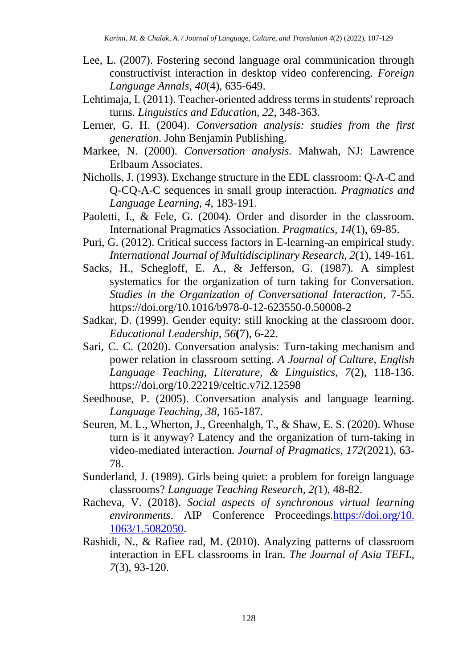- Lee, L. (2007). Fostering second language oral communication through constructivist interaction in desktop video conferencing. *Foreign Language Annals, 40*(4), 635-649.
- Lehtimaja, I. (2011). Teacher-oriented address terms in students' reproach turns. *Linguistics and Education, 22*, 348-363.
- Lerner, G. H. (2004). *Conversation analysis: studies from the first generation*. John Benjamin Publishing.
- Markee, N. (2000). *Conversation analysis.* Mahwah, NJ: Lawrence Erlbaum Associates.
- Nicholls, J. (1993). Exchange structure in the EDL classroom: Q-A-C and Q-CQ-A-C sequences in small group interaction. *Pragmatics and Language Learning, 4,* 183-191.
- Paoletti, I., & Fele, G. (2004). Order and disorder in the classroom. International Pragmatics Association. *Pragmatics, 14*(1), 69-85.
- Puri, G. (2012). Critical success factors in E-learning-an empirical study. *International Journal of Multidisciplinary Research, 2*(1), 149-161.
- Sacks, H., Schegloff, E. A., & Jefferson, G. (1987). A simplest systematics for the organization of turn taking for Conversation. *Studies in the Organization of Conversational Interaction*, 7-55. <https://doi.org/10.1016/b978-0-12-623550-0.50008-2>
- Sadkar, D. (1999). Gender equity: still knocking at the classroom door. *Educational Leadership, 56***(**7), 6-22.
- Sari, C. C. (2020). Conversation analysis: Turn-taking mechanism and power relation in classroom setting. *A Journal of Culture, English Language Teaching, Literature, & Linguistics, 7*(2), 118-136. <https://doi.org/10.22219/celtic.v7i2.12598>
- Seedhouse, P. (2005). Conversation analysis and language learning. *Language Teaching, 38,* 165-187.
- Seuren, M. L., Wherton, J., Greenhalgh, T., & Shaw, E. S. (2020). Whose turn is it anyway? Latency and the organization of turn-taking in video-mediated interaction. *Journal of Pragmatics, 172*(2021), 63- 78.
- Sunderland, J. (1989). Girls being quiet: a problem for foreign language classrooms? *Language Teaching Research, 2(*1), 48-82.
- Racheva, V. (2018). *Social aspects of synchronous virtual learning*  environments. AIP Conference Proceedings.https://doi.org/10. [1063/1.5082050.](https://doi.org/10.%201063/1.5082050)
- Rashidi, N., & Rafiee rad, M. (2010). Analyzing patterns of classroom interaction in EFL classrooms in Iran. *The Journal of Asia TEFL, 7*(3), 93-120.